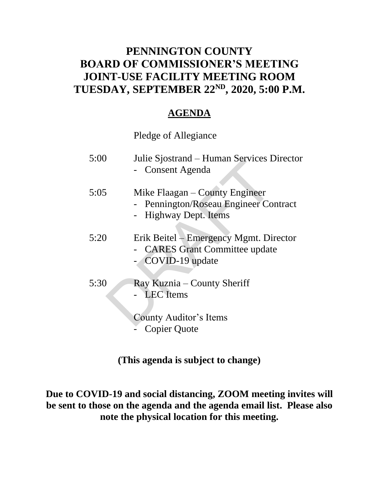### **PENNINGTON COUNTY BOARD OF COMMISSIONER'S MEETING JOINT-USE FACILITY MEETING ROOM TUESDAY, SEPTEMBER 22ND , 2020, 5:00 P.M.**

### **AGENDA**

Pledge of Allegiance

| 5:00 | Julie Sjostrand – Human Services Director<br>- Consent Agenda                                    |
|------|--------------------------------------------------------------------------------------------------|
| 5:05 | Mike Flaagan – County Engineer<br>- Pennington/Roseau Engineer Contract<br>- Highway Dept. Items |
| 5:20 | Erik Beitel – Emergency Mgmt. Director<br>- CARES Grant Committee update<br>COVID-19 update      |
| 5:30 | Ray Kuznia – County Sheriff<br>- LEC Items<br>County Auditor's Items<br>Copier Quote             |

**(This agenda is subject to change)**

**Due to COVID-19 and social distancing, ZOOM meeting invites will be sent to those on the agenda and the agenda email list. Please also note the physical location for this meeting.**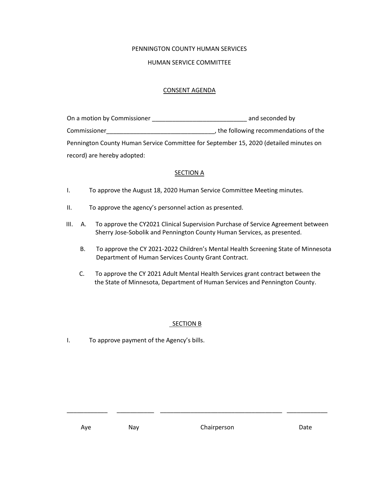#### PENNINGTON COUNTY HUMAN SERVICES

#### HUMAN SERVICE COMMITTEE

#### CONSENT AGENDA

| On a motion by Commissioner | and seconded by                                                                       |
|-----------------------------|---------------------------------------------------------------------------------------|
| Commissioner                | , the following recommendations of the                                                |
|                             | Pennington County Human Service Committee for September 15, 2020 (detailed minutes on |
| record) are hereby adopted: |                                                                                       |

#### **SECTION A**

- I. To approve the August 18, 2020 Human Service Committee Meeting minutes.
- II. To approve the agency's personnel action as presented.
- III. A. To approve the CY2021 Clinical Supervision Purchase of Service Agreement between Sherry Jose-Sobolik and Pennington County Human Services, as presented.
	- B. To approve the CY 2021-2022 Children's Mental Health Screening State of Minnesota Department of Human Services County Grant Contract.
	- C. To approve the CY 2021 Adult Mental Health Services grant contract between the the State of Minnesota, Department of Human Services and Pennington County.

#### SECTION B

I. To approve payment of the Agency's bills.

\_\_\_\_\_\_\_\_\_\_\_\_ \_\_\_\_\_\_\_\_\_\_\_ \_\_\_\_\_\_\_\_\_\_\_\_\_\_\_\_\_\_\_\_\_\_\_\_\_\_\_\_\_\_\_\_\_\_\_\_ \_\_\_\_\_\_\_\_\_\_\_\_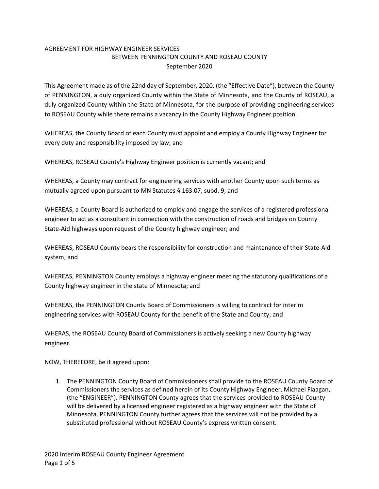### AGREEMENT FOR HIGHWAY ENGINEER SERVICES BETWEEN PENNINGTON COUNTY AND ROSEAU COUNTY September 2020

This Agreement made as of the 22nd day of September, 2020, (the "Effective Date"), between the County of PENNINGTON, a duly organized County within the State of Minnesota, and the County of ROSEAU, a duly organized County within the State of Minnesota, for the purpose of providing engineering services to ROSEAU County while there remains a vacancy in the County Highway Engineer position.

WHEREAS, the County Board of each County must appoint and employ a County Highway Engineer for every duty and responsibility imposed by law; and

WHEREAS, ROSEAU County's Highway Engineer position is currently vacant; and

WHEREAS, a County may contract for engineering services with another County upon such terms as mutually agreed upon pursuant to MN Statutes § 163.07, subd. 9; and

WHEREAS, a County Board is authorized to employ and engage the services of a registered professional engineer to act as a consultant in connection with the construction of roads and bridges on County State‐Aid highways upon request of the County highway engineer; and

WHEREAS, ROSEAU County bears the responsibility for construction and maintenance of their State‐Aid system; and

WHEREAS, PENNINGTON County employs a highway engineer meeting the statutory qualifications of a County highway engineer in the state of Minnesota; and

WHEREAS, the PENNINGTON County Board of Commissioners is willing to contract for interim engineering services with ROSEAU County for the benefit of the State and County; and

WHERAS, the ROSEAU County Board of Commissioners is actively seeking a new County highway engineer.

NOW, THEREFORE, be it agreed upon:

1. The PENNINGTON County Board of Commissioners shall provide to the ROSEAU County Board of Commissioners the services as defined herein of its County Highway Engineer, Michael Flaagan, (the "ENGINEER"). PENNINGTON County agrees that the services provided to ROSEAU County will be delivered by a licensed engineer registered as a highway engineer with the State of Minnesota. PENNINGTON County further agrees that the services will not be provided by a substituted professional without ROSEAU County's express written consent.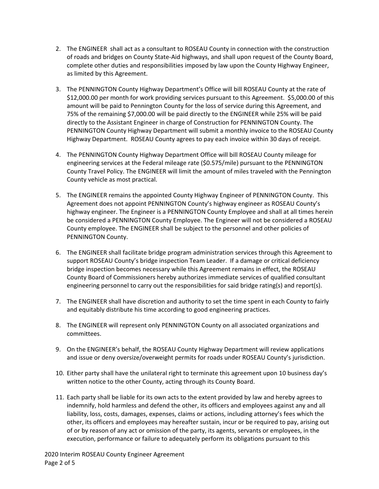- 2. The ENGINEER shall act as a consultant to ROSEAU County in connection with the construction of roads and bridges on County State‐Aid highways, and shall upon request of the County Board, complete other duties and responsibilities imposed by law upon the County Highway Engineer, as limited by this Agreement.
- 3. The PENNINGTON County Highway Department's Office will bill ROSEAU County at the rate of \$12,000.00 per month for work providing services pursuant to this Agreement. \$5,000.00 of this amount will be paid to Pennington County for the loss of service during this Agreement, and 75% of the remaining \$7,000.00 will be paid directly to the ENGINEER while 25% will be paid directly to the Assistant Engineer in charge of Construction for PENNINGTON County. The PENNINGTON County Highway Department will submit a monthly invoice to the ROSEAU County Highway Department. ROSEAU County agrees to pay each invoice within 30 days of receipt.
- 4. The PENNINGTON County Highway Department Office will bill ROSEAU County mileage for engineering services at the Federal mileage rate (\$0.575/mile) pursuant to the PENNINGTON County Travel Policy. The ENGINEER will limit the amount of miles traveled with the Pennington County vehicle as most practical.
- 5. The ENGINEER remains the appointed County Highway Engineer of PENNINGTON County. This Agreement does not appoint PENNINGTON County's highway engineer as ROSEAU County's highway engineer. The Engineer is a PENNINGTON County Employee and shall at all times herein be considered a PENNINGTON County Employee. The Engineer will not be considered a ROSEAU County employee. The ENGINEER shall be subject to the personnel and other policies of PENNINGTON County.
- 6. The ENGINEER shall facilitate bridge program administration services through this Agreement to support ROSEAU County's bridge inspection Team Leader. If a damage or critical deficiency bridge inspection becomes necessary while this Agreement remains in effect, the ROSEAU County Board of Commissioners hereby authorizes immediate services of qualified consultant engineering personnel to carry out the responsibilities for said bridge rating(s) and report(s).
- 7. The ENGINEER shall have discretion and authority to set the time spent in each County to fairly and equitably distribute his time according to good engineering practices.
- 8. The ENGINEER will represent only PENNINGTON County on all associated organizations and committees.
- 9. On the ENGINEER's behalf, the ROSEAU County Highway Department will review applications and issue or deny oversize/overweight permits for roads under ROSEAU County's jurisdiction.
- 10. Either party shall have the unilateral right to terminate this agreement upon 10 business day's written notice to the other County, acting through its County Board.
- 11. Each party shall be liable for its own acts to the extent provided by law and hereby agrees to indemnify, hold harmless and defend the other, its officers and employees against any and all liability, loss, costs, damages, expenses, claims or actions, including attorney's fees which the other, its officers and employees may hereafter sustain, incur or be required to pay, arising out of or by reason of any act or omission of the party, its agents, servants or employees, in the execution, performance or failure to adequately perform its obligations pursuant to this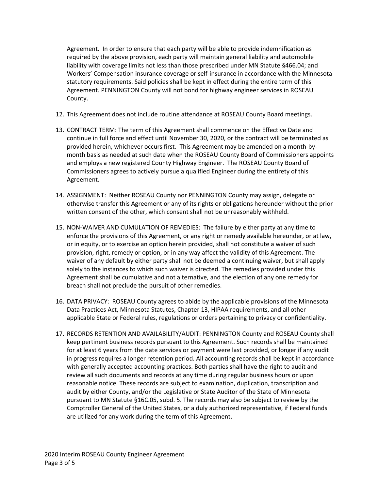Agreement. In order to ensure that each party will be able to provide indemnification as required by the above provision, each party will maintain general liability and automobile liability with coverage limits not less than those prescribed under MN Statute §466.04; and Workers' Compensation insurance coverage or self‐insurance in accordance with the Minnesota statutory requirements. Said policies shall be kept in effect during the entire term of this Agreement. PENNINGTON County will not bond for highway engineer services in ROSEAU County.

- 12. This Agreement does not include routine attendance at ROSEAU County Board meetings.
- 13. CONTRACT TERM: The term of this Agreement shall commence on the Effective Date and continue in full force and effect until November 30, 2020, or the contract will be terminated as provided herein, whichever occurs first. This Agreement may be amended on a month‐by‐ month basis as needed at such date when the ROSEAU County Board of Commissioners appoints and employs a new registered County Highway Engineer. The ROSEAU County Board of Commissioners agrees to actively pursue a qualified Engineer during the entirety of this Agreement.
- 14. ASSIGNMENT: Neither ROSEAU County nor PENNINGTON County may assign, delegate or otherwise transfer this Agreement or any of its rights or obligations hereunder without the prior written consent of the other, which consent shall not be unreasonably withheld.
- 15. NON‐WAIVER AND CUMULATION OF REMEDIES: The failure by either party at any time to enforce the provisions of this Agreement, or any right or remedy available hereunder, or at law, or in equity, or to exercise an option herein provided, shall not constitute a waiver of such provision, right, remedy or option, or in any way affect the validity of this Agreement. The waiver of any default by either party shall not be deemed a continuing waiver, but shall apply solely to the instances to which such waiver is directed. The remedies provided under this Agreement shall be cumulative and not alternative, and the election of any one remedy for breach shall not preclude the pursuit of other remedies.
- 16. DATA PRIVACY: ROSEAU County agrees to abide by the applicable provisions of the Minnesota Data Practices Act, Minnesota Statutes, Chapter 13, HIPAA requirements, and all other applicable State or Federal rules, regulations or orders pertaining to privacy or confidentiality.
- 17. RECORDS RETENTION AND AVAILABILITY/AUDIT: PENNINGTON County and ROSEAU County shall keep pertinent business records pursuant to this Agreement. Such records shall be maintained for at least 6 years from the date services or payment were last provided, or longer if any audit in progress requires a longer retention period. All accounting records shall be kept in accordance with generally accepted accounting practices. Both parties shall have the right to audit and review all such documents and records at any time during regular business hours or upon reasonable notice. These records are subject to examination, duplication, transcription and audit by either County, and/or the Legislative or State Auditor of the State of Minnesota pursuant to MN Statute §16C.05, subd. 5. The records may also be subject to review by the Comptroller General of the United States, or a duly authorized representative, if Federal funds are utilized for any work during the term of this Agreement.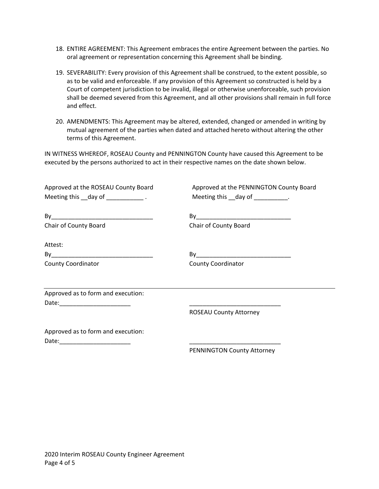- 18. ENTIRE AGREEMENT: This Agreement embraces the entire Agreement between the parties. No oral agreement or representation concerning this Agreement shall be binding.
- 19. SEVERABILITY: Every provision of this Agreement shall be construed, to the extent possible, so as to be valid and enforceable. If any provision of this Agreement so constructed is held by a Court of competent jurisdiction to be invalid, illegal or otherwise unenforceable, such provision shall be deemed severed from this Agreement, and all other provisions shall remain in full force and effect.
- 20. AMENDMENTS: This Agreement may be altered, extended, changed or amended in writing by mutual agreement of the parties when dated and attached hereto without altering the other terms of this Agreement.

IN WITNESS WHEREOF, ROSEAU County and PENNINGTON County have caused this Agreement to be executed by the persons authorized to act in their respective names on the date shown below.

| Approved at the ROSEAU County Board<br>Meeting this __day of ____________. | Approved at the PENNINGTON County Board<br>Meeting this __day of __________. |  |  |  |  |
|----------------------------------------------------------------------------|------------------------------------------------------------------------------|--|--|--|--|
|                                                                            |                                                                              |  |  |  |  |
| Chair of County Board                                                      | Chair of County Board                                                        |  |  |  |  |
| Attest:                                                                    |                                                                              |  |  |  |  |
|                                                                            |                                                                              |  |  |  |  |
| <b>County Coordinator</b>                                                  | County Coordinator                                                           |  |  |  |  |
| Approved as to form and execution:                                         |                                                                              |  |  |  |  |
| Date:__________________________                                            |                                                                              |  |  |  |  |
|                                                                            | <b>ROSEAU County Attorney</b>                                                |  |  |  |  |
| Approved as to form and execution:                                         |                                                                              |  |  |  |  |
|                                                                            |                                                                              |  |  |  |  |
|                                                                            | PENNINGTON County Attorney                                                   |  |  |  |  |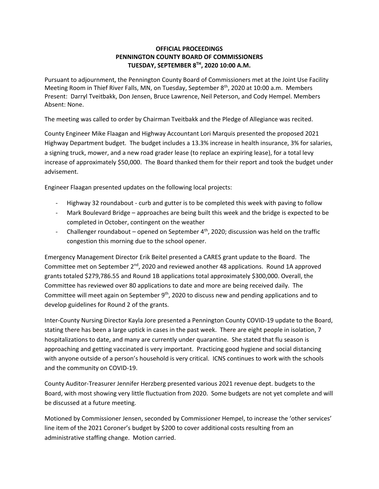#### **OFFICIAL PROCEEDINGS PENNINGTON COUNTY BOARD OF COMMISSIONERS TUESDAY, SEPTEMBER 8TH, 2020 10:00 A.M.**

Pursuant to adjournment, the Pennington County Board of Commissioners met at the Joint Use Facility Meeting Room in Thief River Falls, MN, on Tuesday, September 8<sup>th</sup>, 2020 at 10:00 a.m. Members Present: Darryl Tveitbakk, Don Jensen, Bruce Lawrence, Neil Peterson, and Cody Hempel. Members Absent: None.

The meeting was called to order by Chairman Tveitbakk and the Pledge of Allegiance was recited.

County Engineer Mike Flaagan and Highway Accountant Lori Marquis presented the proposed 2021 Highway Department budget. The budget includes a 13.3% increase in health insurance, 3% for salaries, a signing truck, mower, and a new road grader lease (to replace an expiring lease), for a total levy increase of approximately \$50,000. The Board thanked them for their report and took the budget under advisement.

Engineer Flaagan presented updates on the following local projects:

- Highway 32 roundabout curb and gutter is to be completed this week with paving to follow
- Mark Boulevard Bridge approaches are being built this week and the bridge is expected to be completed in October, contingent on the weather
- Challenger roundabout opened on September  $4<sup>th</sup>$ , 2020; discussion was held on the traffic congestion this morning due to the school opener.

Emergency Management Director Erik Beitel presented a CARES grant update to the Board. The Committee met on September 2<sup>nd</sup>, 2020 and reviewed another 48 applications. Round 1A approved grants totaled \$279,786.55 and Round 1B applications total approximately \$300,000. Overall, the Committee has reviewed over 80 applications to date and more are being received daily. The Committee will meet again on September 9<sup>th</sup>, 2020 to discuss new and pending applications and to develop guidelines for Round 2 of the grants.

Inter-County Nursing Director Kayla Jore presented a Pennington County COVID-19 update to the Board, stating there has been a large uptick in cases in the past week. There are eight people in isolation, 7 hospitalizations to date, and many are currently under quarantine. She stated that flu season is approaching and getting vaccinated is very important. Practicing good hygiene and social distancing with anyone outside of a person's household is very critical. ICNS continues to work with the schools and the community on COVID-19.

County Auditor-Treasurer Jennifer Herzberg presented various 2021 revenue dept. budgets to the Board, with most showing very little fluctuation from 2020. Some budgets are not yet complete and will be discussed at a future meeting.

Motioned by Commissioner Jensen, seconded by Commissioner Hempel, to increase the 'other services' line item of the 2021 Coroner's budget by \$200 to cover additional costs resulting from an administrative staffing change. Motion carried.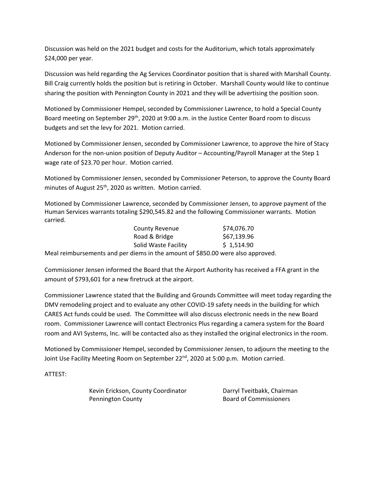Discussion was held on the 2021 budget and costs for the Auditorium, which totals approximately \$24,000 per year.

Discussion was held regarding the Ag Services Coordinator position that is shared with Marshall County. Bill Craig currently holds the position but is retiring in October. Marshall County would like to continue sharing the position with Pennington County in 2021 and they will be advertising the position soon.

Motioned by Commissioner Hempel, seconded by Commissioner Lawrence, to hold a Special County Board meeting on September 29<sup>th</sup>, 2020 at 9:00 a.m. in the Justice Center Board room to discuss budgets and set the levy for 2021. Motion carried.

Motioned by Commissioner Jensen, seconded by Commissioner Lawrence, to approve the hire of Stacy Anderson for the non-union position of Deputy Auditor – Accounting/Payroll Manager at the Step 1 wage rate of \$23.70 per hour. Motion carried.

Motioned by Commissioner Jensen, seconded by Commissioner Peterson, to approve the County Board minutes of August 25<sup>th</sup>, 2020 as written. Motion carried.

Motioned by Commissioner Lawrence, seconded by Commissioner Jensen, to approve payment of the Human Services warrants totaling \$290,545.82 and the following Commissioner warrants. Motion carried.

| <b>County Revenue</b>                                       | \$74,076.70 |
|-------------------------------------------------------------|-------------|
| Road & Bridge                                               | \$67,139.96 |
| Solid Waste Facility                                        | \$1,514.90  |
| ante en disagrafía de de escacion de COEO OO unha elegações |             |

Meal reimbursements and per diems in the amount of \$850.00 were also approved.

Commissioner Jensen informed the Board that the Airport Authority has received a FFA grant in the amount of \$793,601 for a new firetruck at the airport.

Commissioner Lawrence stated that the Building and Grounds Committee will meet today regarding the DMV remodeling project and to evaluate any other COVID-19 safety needs in the building for which CARES Act funds could be used. The Committee will also discuss electronic needs in the new Board room. Commissioner Lawrence will contact Electronics Plus regarding a camera system for the Board room and AVI Systems, Inc. will be contacted also as they installed the original electronics in the room.

Motioned by Commissioner Hempel, seconded by Commissioner Jensen, to adjourn the meeting to the Joint Use Facility Meeting Room on September 22<sup>nd</sup>, 2020 at 5:00 p.m. Motion carried.

ATTEST:

Kevin Erickson, County Coordinator **Darryl Tveitbakk, Chairman** Pennington County **Board of Commissioners**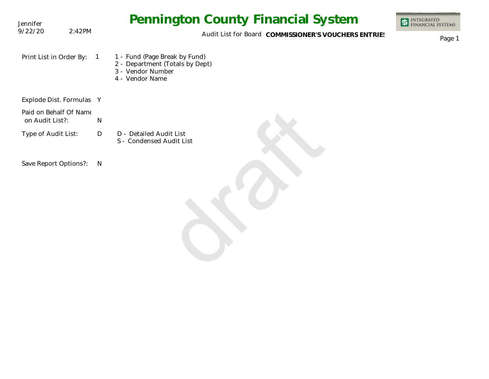| Jennifer                                  |                | <b>Pennington County Financial System</b>                                                                | <b>INTEGRATED<br/>FINANCIAL SYSTEMS</b> |
|-------------------------------------------|----------------|----------------------------------------------------------------------------------------------------------|-----------------------------------------|
| 9/22/20<br>2:42PM                         |                | Audit List for Board COMMISSIONER'S VOUCHERS ENTRIES                                                     | Page 1                                  |
| Print List in Order By:                   | $\overline{1}$ | 1 - Fund (Page Break by Fund)<br>2 - Department (Totals by Dept)<br>3 - Vendor Number<br>4 - Vendor Name |                                         |
| Explode Dist. Formulas Y                  |                |                                                                                                          |                                         |
| Paid on Behalf Of Name<br>on Audit List?: | ${\sf N}$      |                                                                                                          |                                         |
| Type of Audit List:                       | D              | D - Detailed Audit List<br>S - Condensed Audit List                                                      |                                         |
| Save Report Options?:                     | <sup>N</sup>   |                                                                                                          |                                         |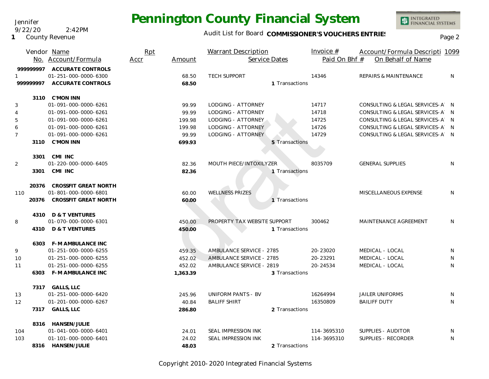Audit List for Board COMMISSIONER'S VOUCHERS ENTRIES<br>Page 2

|                | Vendor Name<br>No. Account/Formula | Rpt<br>Accr | Amount   | <b>Warrant Description</b><br>Service Dates | Invoice $#$<br>Paid On Bhf # | Account/Formula Descripti 1099<br>On Behalf of Name |     |
|----------------|------------------------------------|-------------|----------|---------------------------------------------|------------------------------|-----------------------------------------------------|-----|
| 999999997      | <b>ACCURATE CONTROLS</b>           |             |          |                                             |                              |                                                     |     |
|                | 01-251-000-0000-6300               |             | 68.50    | <b>TECH SUPPORT</b>                         | 14346                        | <b>REPAIRS &amp; MAINTENANCE</b>                    | N   |
| 99999997       | <b>ACCURATE CONTROLS</b>           |             | 68.50    | 1 Transactions                              |                              |                                                     |     |
|                | 3110 C'MON INN                     |             |          |                                             |                              |                                                     |     |
| 3              | 01-091-000-0000-6261               |             | 99.99    | LODGING - ATTORNEY                          | 14717                        | CONSULTING & LEGAL SERVICES-A N                     |     |
| 4              | 01-091-000-0000-6261               |             | 99.99    | LODGING - ATTORNEY                          | 14718                        | CONSULTING & LEGAL SERVICES-A                       | - N |
| 5              | 01-091-000-0000-6261               |             | 199.98   | LODGING - ATTORNEY                          | 14725                        | CONSULTING & LEGAL SERVICES-A N                     |     |
| 6              | 01-091-000-0000-6261               |             | 199.98   | LODGING - ATTORNEY                          | 14726                        | CONSULTING & LEGAL SERVICES-A N                     |     |
| $\overline{7}$ | 01-091-000-0000-6261               |             | 99.99    | LODGING - ATTORNEY                          | 14729                        | CONSULTING & LEGAL SERVICES-A N                     |     |
|                | 3110 C'MON INN                     |             | 699.93   | 5 Transactions                              |                              |                                                     |     |
|                |                                    |             |          |                                             |                              |                                                     |     |
| 3301           | CMI INC                            |             |          |                                             |                              |                                                     |     |
| 2              | 01-220-000-0000-6405               |             | 82.36    | MOUTH PIECE/INTOXILYZER                     | 8035709                      | <b>GENERAL SUPPLIES</b>                             | N   |
|                | 3301 CMI INC                       |             | 82.36    | 1 Transactions                              |                              |                                                     |     |
| 20376          | <b>CROSSFIT GREAT NORTH</b>        |             |          |                                             |                              |                                                     |     |
| 110            | 01-801-000-0000-6801               |             | 60.00    | <b>WELLNESS PRIZES</b>                      |                              | MISCELLANEOUS EXPENSE                               | N   |
| 20376          | <b>CROSSFIT GREAT NORTH</b>        |             | 60.00    | 1 Transactions                              |                              |                                                     |     |
|                |                                    |             |          |                                             |                              |                                                     |     |
| 4310           | D & T VENTURES                     |             |          |                                             |                              |                                                     |     |
| 8              | 01-070-000-0000-6301               |             | 450.00   | PROPERTY TAX WEBSITE SUPPORT                | 300462                       | <b>MAINTENANCE AGREEMENT</b>                        | N   |
|                | 4310 D & T VENTURES                |             | 450.00   | 1 Transactions                              |                              |                                                     |     |
|                | 6303 F-M AMBULANCE INC             |             |          |                                             |                              |                                                     |     |
| 9              | 01-251-000-0000-6255               |             | 459.35   | AMBULANCE SERVICE - 2785                    | 20-23020                     | MEDICAL - LOCAL                                     | N   |
| 10             | 01-251-000-0000-6255               |             | 452.02   | AMBULANCE SERVICE - 2785                    | 20-23291                     | MEDICAL - LOCAL                                     | N   |
| 11             | 01-251-000-0000-6255               |             | 452.02   | AMBULANCE SERVICE - 2819                    | 20-24534                     | MEDICAL - LOCAL                                     | N   |
|                | 6303 F-M AMBULANCE INC             |             | 1,363.39 | 3 Transactions                              |                              |                                                     |     |
|                | 7317 GALLS, LLC                    |             |          |                                             |                              |                                                     |     |
| 13             | 01-251-000-0000-6420               |             | 245.96   | UNIFORM PANTS - BV                          | 16264994                     | <b>JAILER UNIFORMS</b>                              | N   |
| 12             | 01-201-000-0000-6267               |             | 40.84    | <b>BALIFF SHIRT</b>                         | 16350809                     | <b>BAILIFF DUTY</b>                                 | N   |
|                | 7317 GALLS, LLC                    |             | 286.80   | 2 Transactions                              |                              |                                                     |     |
|                |                                    |             |          |                                             |                              |                                                     |     |
|                | 8316 HANSEN/JULIE                  |             |          |                                             |                              |                                                     |     |
| 104            | 01-041-000-0000-6401               |             | 24.01    | <b>SEAL IMPRESSION INK</b>                  | 114-3695310                  | SUPPLIES - AUDITOR                                  | N   |
| 103            | 01-101-000-0000-6401               |             | 24.02    | SEAL IMPRESSION INK                         | 114-3695310                  | SUPPLIES - RECORDER                                 | N   |
|                | 8316 HANSEN/JULIE                  |             | 48.03    | 2 Transactions                              |                              |                                                     |     |

Copyright 2010-2020 Integrated Financial Systems

Jennifer 9/22/20 2:42PM

**1** County Revenue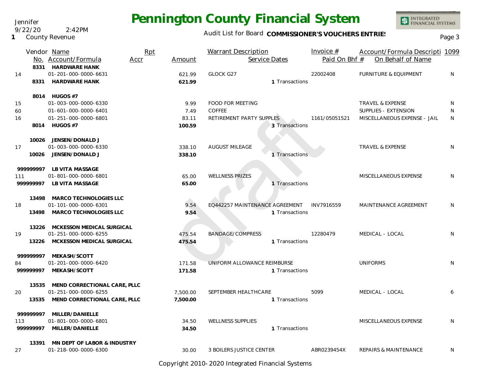Audit List for Board COMMISSIONER'S VOUCHERS ENTRIES<br>Page 3

|             | Vendor Name                                          | Rpt  |          | <b>Warrant Description</b>      | Invoice $#$   | Account/Formula Descripti 1099   |   |
|-------------|------------------------------------------------------|------|----------|---------------------------------|---------------|----------------------------------|---|
|             | No. Account/Formula                                  | Accr | Amount   | Service Dates                   | Paid On Bhf # | On Behalf of Name                |   |
|             | 8331 HARDWARE HANK                                   |      |          |                                 |               |                                  |   |
| 14          | 01-201-000-0000-6631                                 |      | 621.99   | <b>GLOCK G27</b>                | 22002408      | <b>FURNITURE &amp; EQUIPMENT</b> | N |
| 8331        | <b>HARDWARE HANK</b>                                 |      | 621.99   | 1 Transactions                  |               |                                  |   |
|             | 8014 HUGOS #7                                        |      |          |                                 |               |                                  |   |
| 15          | 01-003-000-0000-6330                                 |      | 9.99     | <b>FOOD FOR MEETING</b>         |               | <b>TRAVEL &amp; EXPENSE</b>      | N |
| 60          | 01-601-000-0000-6401                                 |      | 7.49     | <b>COFFEE</b>                   |               | SUPPLIES - EXTENSION             | N |
| 16          | 01-251-000-0000-6801                                 |      | 83.11    | RETIREMENT PARTY SUPPLES        | 1161/05051521 | MISCELLANEOUS EXPENSE - JAIL     | N |
|             | 8014 HUGOS #7                                        |      | 100.59   | 3 Transactions                  |               |                                  |   |
|             |                                                      |      |          |                                 |               |                                  |   |
| 10026       | JENSEN/DONALD J                                      |      |          |                                 |               |                                  |   |
| 17          | 01-003-000-0000-6330                                 |      | 338.10   | <b>AUGUST MILEAGE</b>           |               | <b>TRAVEL &amp; EXPENSE</b>      | N |
|             | 10026 JENSEN/DONALD J                                |      | 338.10   | 1 Transactions                  |               |                                  |   |
| 999999997   | LB VITA MASSAGE                                      |      |          |                                 |               |                                  |   |
| 111         | 01-801-000-0000-6801                                 |      | 65.00    | <b>WELLNESS PRIZES</b>          |               | MISCELLANEOUS EXPENSE            | N |
| 999999997   | LB VITA MASSAGE                                      |      | 65.00    | 1 Transactions                  |               |                                  |   |
|             |                                                      |      |          |                                 |               |                                  |   |
|             | 13498 MARCO TECHNOLOGIES LLC<br>01-101-000-0000-6301 |      | 9.54     | EQ442257 MAINTENANCE AGREEMENT  | INV7916559    | MAINTENANCE AGREEMENT            | N |
| 18          | 13498 MARCO TECHNOLOGIES LLC                         |      | 9.54     | 1 Transactions                  |               |                                  |   |
|             |                                                      |      |          |                                 |               |                                  |   |
|             | 13226 MCKESSON MEDICAL SURGICAL                      |      |          |                                 |               |                                  |   |
| 19          | 01-251-000-0000-6255                                 |      | 475.54   | <b>BANDAGE/COMPRESS</b>         | 12280479      | MEDICAL - LOCAL                  | N |
| 13226       | MCKESSON MEDICAL SURGICAL                            |      | 475.54   | 1 Transactions                  |               |                                  |   |
| 999999997   | MEKASH/SCOTT                                         |      |          |                                 |               |                                  |   |
| 84          | 01-201-000-0000-6420                                 |      | 171.58   | UNIFORM ALLOWANCE REIMBURSE     |               | <b>UNIFORMS</b>                  | N |
| 99999997    | MEKASH/SCOTT                                         |      | 171.58   | 1 Transactions                  |               |                                  |   |
|             |                                                      |      |          |                                 |               |                                  |   |
| 13535<br>20 | MEND CORRECTIONAL CARE, PLLC<br>01-251-000-0000-6255 |      |          | SEPTEMBER HEALTHCARE            | 5099          | MEDICAL - LOCAL                  | 6 |
|             | MEND CORRECTIONAL CARE, PLLC                         |      | 7,500.00 |                                 |               |                                  |   |
| 13535       |                                                      |      | 7,500.00 | 1 Transactions                  |               |                                  |   |
| 999999997   | MILLER/DANIELLE                                      |      |          |                                 |               |                                  |   |
| 113         | 01-801-000-0000-6801                                 |      | 34.50    | <b>WELLNESS SUPPLIES</b>        |               | MISCELLANEOUS EXPENSE            | N |
|             | 999999997 MILLER/DANIELLE                            |      | 34.50    | 1 Transactions                  |               |                                  |   |
|             | 13391 MN DEPT OF LABOR & INDUSTRY                    |      |          |                                 |               |                                  |   |
| 27          | 01-218-000-0000-6300                                 |      | 30.00    | <b>3 BOILERS JUSTICE CENTER</b> | ABR0239454X   | REPAIRS & MAINTENANCE            | N |

Copyright 2010-2020 Integrated Financial Systems

#### Jennifer 9/22/20 2:42PM

**1** County Revenue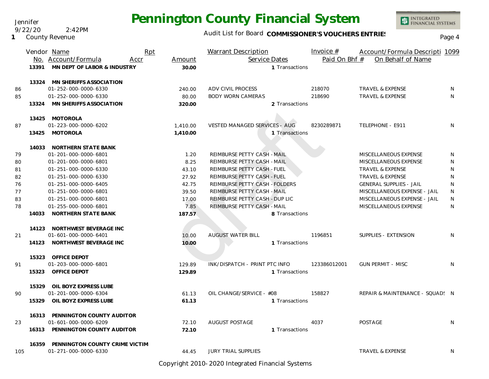Jennifer 9/22/20 2:42PM

**1** County Revenue

### Audit List for Board COMMISSIONER'S VOUCHERS ENTRIES<br>Page 4

INTEGRATED<br>FINANCIAL SYSTEMS

|     |       | Vendor Name                     | Rpt  |          | Warrant Description                  |                | Invoice $#$   | Account/Formula Descripti 1099  |    |
|-----|-------|---------------------------------|------|----------|--------------------------------------|----------------|---------------|---------------------------------|----|
|     |       | No. Account/Formula             | Accr | Amount   | Service Dates                        |                | Paid On Bhf # | On Behalf of Name               |    |
|     | 13391 | MN DEPT OF LABOR & INDUSTRY     |      | 30.00    |                                      | 1 Transactions |               |                                 |    |
|     |       | 13324 MN SHERIFFS ASSOCIATION   |      |          |                                      |                |               |                                 |    |
| 86  |       | 01-252-000-0000-6330            |      | 240.00   | ADV CIVIL PROCESS                    |                | 218070        | <b>TRAVEL &amp; EXPENSE</b>     | N  |
| 85  |       | 01-252-000-0000-6330            |      | 80.00    | <b>BODY WORN CAMERAS</b>             |                | 218690        | <b>TRAVEL &amp; EXPENSE</b>     | N  |
|     |       | 13324 MN SHERIFFS ASSOCIATION   |      | 320.00   |                                      | 2 Transactions |               |                                 |    |
|     |       | 13425 MOTOROLA                  |      |          |                                      |                |               |                                 |    |
| 87  |       | 01-223-000-0000-6202            |      | 1,410.00 | <b>VESTED MANAGED SERVICES - AUG</b> |                | 8230289871    | TELEPHONE - E911                | N. |
|     |       | 13425 MOTOROLA                  |      | 1,410.00 |                                      | 1 Transactions |               |                                 |    |
|     |       | 14033 NORTHERN STATE BANK       |      |          |                                      |                |               |                                 |    |
| 79  |       | 01-201-000-0000-6801            |      | 1.20     | REIMBURSE PETTY CASH - MAIL          |                |               | MISCELLANEOUS EXPENSE           | N  |
| 80  |       | 01-201-000-0000-6801            |      | 8.25     | REIMBURSE PETTY CASH - MAIL          |                |               | MISCELLANEOUS EXPENSE           | N  |
| 81  |       | 01-251-000-0000-6330            |      | 43.10    | REIMBURSE PETTY CASH - FUEL          |                |               | <b>TRAVEL &amp; EXPENSE</b>     | N  |
| 82  |       | 01-251-000-0000-6330            |      | 27.92    | REIMBURSE PETTY CASH - FUEL          |                |               | TRAVEL & EXPENSE                | N  |
| 76  |       | 01-251-000-0000-6405            |      | 42.75    | REIMBURSE PETTY CASH - FOLDERS       |                |               | <b>GENERAL SUPPLIES - JAIL</b>  | N  |
| 77  |       | 01-251-000-0000-6801            |      | 39.50    | REIMBURSE PETTY CASH - MAIL          |                |               | MISCELLANEOUS EXPENSE - JAIL    | N  |
| 83  |       | 01-251-000-0000-6801            |      | 17.00    | REIMBURSE PETTY CASH - DUP LIC       |                |               | MISCELLANEOUS EXPENSE - JAIL    | N  |
| 78  |       | 01-255-000-0000-6801            |      | 7.85     | REIMBURSE PETTY CASH - MAIL          |                |               | MISCELLANEOUS EXPENSE           | N  |
|     | 14033 | NORTHERN STATE BANK             |      | 187.57   |                                      | 8 Transactions |               |                                 |    |
|     |       | 14123 NORTHWEST BEVERAGE INC    |      |          |                                      |                |               |                                 |    |
| 21  |       | 01-601-000-0000-6401            |      | 10.00    | <b>AUGUST WATER BILL</b>             |                | 1196851       | SUPPLIES - EXTENSION            | N  |
|     |       | 14123 NORTHWEST BEVERAGE INC    |      | 10.00    |                                      | 1 Transactions |               |                                 |    |
|     |       | 15323 OFFICE DEPOT              |      |          |                                      |                |               |                                 |    |
| 91  |       | 01-203-000-0000-6801            |      | 129.89   | INK/DISPATCH - PRINT PTC INFO        |                | 123386012001  | <b>GUN PERMIT - MISC</b>        | N  |
|     | 15323 | OFFICE DEPOT                    |      | 129.89   |                                      | 1 Transactions |               |                                 |    |
|     | 15329 | OIL BOYZ EXPRESS LUBE           |      |          |                                      |                |               |                                 |    |
| 90  |       | 01-201-000-0000-6304            |      | 61.13    | OIL CHANGE/SERVICE - #08             |                | 158827        | REPAIR & MAINTENANCE - SQUAD! N |    |
|     | 15329 | OIL BOYZ EXPRESS LUBE           |      | 61.13    |                                      | 1 Transactions |               |                                 |    |
|     | 16313 | PENNINGTON COUNTY AUDITOR       |      |          |                                      |                |               |                                 |    |
| 23  |       | 01-601-000-0000-6209            |      | 72.10    | <b>AUGUST POSTAGE</b>                |                | 4037          | <b>POSTAGE</b>                  | N  |
|     |       | 16313 PENNINGTON COUNTY AUDITOR |      | 72.10    |                                      | 1 Transactions |               |                                 |    |
|     | 16359 | PENNINGTON COUNTY CRIME VICTIM  |      |          |                                      |                |               |                                 |    |
| 105 |       | 01-271-000-0000-6330            |      | 44.45    | <b>JURY TRIAL SUPPLIES</b>           |                |               | <b>TRAVEL &amp; EXPENSE</b>     | N  |

Copyright 2010-2020 Integrated Financial Systems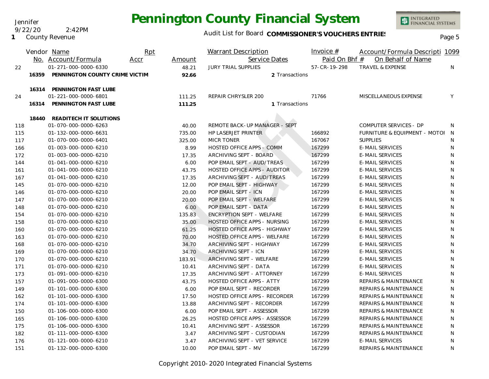Jennifer 9/22/20 2:42PM

**1** County Revenue

### Audit List for Board COMMISSIONER'S VOUCHERS ENTRIES<br>Page 5

|     |       | Vendor Name                    | Rpt  |        | <b>Warrant Description</b>          |                | Invoice $#$   | Account/Formula Descripti 1099   |   |
|-----|-------|--------------------------------|------|--------|-------------------------------------|----------------|---------------|----------------------------------|---|
|     |       | No. Account/Formula            | Accr | Amount | Service Dates                       |                | Paid On Bhf # | On Behalf of Name                |   |
| 22  |       | 01-271-000-0000-6330           |      | 48.21  | <b>JURY TRIAL SUPPLIES</b>          |                | 57-CR-19-298  | <b>TRAVEL &amp; EXPENSE</b>      | N |
|     | 16359 | PENNINGTON COUNTY CRIME VICTIM |      | 92.66  |                                     | 2 Transactions |               |                                  |   |
|     |       |                                |      |        |                                     |                |               |                                  |   |
|     | 16314 | PENNINGTON FAST LUBE           |      |        |                                     |                |               |                                  |   |
| 24  |       | 01-221-000-0000-6801           |      | 111.25 | REPAIR CHRYSLER 200                 |                | 71766         | MISCELLANEOUS EXPENSE            | Υ |
|     | 16314 | PENNINGTON FAST LUBE           |      | 111.25 |                                     | 1 Transactions |               |                                  |   |
|     | 18440 | READITECH IT SOLUTIONS         |      |        |                                     |                |               |                                  |   |
| 118 |       | 01-070-000-0000-6263           |      | 40.00  | REMOTE BACK-UP MANAGER - SEPT       |                |               | COMPUTER SERVICES - DP           | N |
| 115 |       | 01-132-000-0000-6631           |      | 735.00 | <b>HP LASERJET PRINTER</b>          |                | 166892        | FURNITURE & EQUIPMENT - MOTOI    | N |
| 117 |       | 01-070-000-0000-6401           |      | 325.00 | <b>MICR TONER</b>                   |                | 167067        | <b>SUPPLIES</b>                  | N |
| 166 |       | 01-003-000-0000-6210           |      | 8.99   | <b>HOSTED OFFICE APPS - COMM</b>    |                | 167299        | <b>E-MAIL SERVICES</b>           | N |
| 172 |       | 01-003-000-0000-6210           |      | 17.35  | ARCHIVING SEPT - BOARD              |                | 167299        | <b>E-MAIL SERVICES</b>           | N |
| 144 |       | 01-041-000-0000-6210           |      | 6.00   | POP EMAIL SEPT - AUD/TREAS          |                | 167299        | <b>E-MAIL SERVICES</b>           | N |
| 161 |       | 01-041-000-0000-6210           |      | 43.75  | HOSTED OFFICE APPS - AUDITOR        |                | 167299        | <b>E-MAIL SERVICES</b>           | N |
| 167 |       | 01-041-000-0000-6210           |      | 17.35  | ARCHIVING SEPT - AUD/TREAS          |                | 167299        | <b>E-MAIL SERVICES</b>           | N |
| 145 |       | 01-070-000-0000-6210           |      | 12.00  | POP EMAIL SEPT - HIGHWAY            |                | 167299        | <b>E-MAIL SERVICES</b>           | N |
| 146 |       | 01-070-000-0000-6210           |      | 20.00  | POP EMAIL SEPT - ICN                |                | 167299        | <b>E-MAIL SERVICES</b>           | N |
| 147 |       | 01-070-000-0000-6210           |      | 20.00  | POP EMAIL SEPT - WELFARE            |                | 167299        | <b>E-MAIL SERVICES</b>           | N |
| 148 |       | 01-070-000-0000-6210           |      | 6.00   | POP EMAIL SEPT - DATA               |                | 167299        | <b>E-MAIL SERVICES</b>           | N |
| 154 |       | 01-070-000-0000-6210           |      | 135.83 | <b>ENCRYPTION SEPT - WELFARE</b>    |                | 167299        | <b>E-MAIL SERVICES</b>           | N |
| 158 |       | 01-070-000-0000-6210           |      | 35.00  | HOSTED OFFICE APPS - NURSING        |                | 167299        | <b>E-MAIL SERVICES</b>           | N |
| 160 |       | 01-070-000-0000-6210           |      | 61.25  | <b>HOSTED OFFICE APPS - HIGHWAY</b> |                | 167299        | <b>E-MAIL SERVICES</b>           | N |
| 163 |       | 01-070-000-0000-6210           |      | 70.00  | HOSTED OFFICE APPS - WELFARE        |                | 167299        | <b>E-MAIL SERVICES</b>           | N |
| 168 |       | 01-070-000-0000-6210           |      | 34.70  | ARCHIVING SEPT - HIGHWAY            |                | 167299        | <b>E-MAIL SERVICES</b>           | N |
| 169 |       | 01-070-000-0000-6210           |      | 34.70  | ARCHIVING SEPT - ICN                |                | 167299        | <b>E-MAIL SERVICES</b>           | N |
| 170 |       | 01-070-000-0000-6210           |      | 183.91 | ARCHIVING SEPT - WELFARE            |                | 167299        | <b>E-MAIL SERVICES</b>           | N |
| 171 |       | 01-070-000-0000-6210           |      | 10.41  | ARCHIVING SEPT - DATA               |                | 167299        | <b>E-MAIL SERVICES</b>           | N |
| 173 |       | 01-091-000-0000-6210           |      | 17.35  | ARCHIVING SEPT - ATTORNEY           |                | 167299        | <b>E-MAIL SERVICES</b>           | N |
| 157 |       | 01-091-000-0000-6300           |      | 43.75  | <b>HOSTED OFFICE APPS - ATTY</b>    |                | 167299        | <b>REPAIRS &amp; MAINTENANCE</b> | N |
| 149 |       | 01-101-000-0000-6300           |      | 6.00   | POP EMAIL SEPT - RECORDER           |                | 167299        | <b>REPAIRS &amp; MAINTENANCE</b> | N |
| 162 |       | 01-101-000-0000-6300           |      | 17.50  | HOSTED OFFICE APPS - RECORDER       |                | 167299        | <b>REPAIRS &amp; MAINTENANCE</b> | N |
| 174 |       | 01-101-000-0000-6300           |      | 13.88  | ARCHIVING SEPT - RECORDER           |                | 167299        | <b>REPAIRS &amp; MAINTENANCE</b> | N |
| 150 |       | 01-106-000-0000-6300           |      | 6.00   | POP EMAIL SEPT - ASSESSOR           |                | 167299        | <b>REPAIRS &amp; MAINTENANCE</b> | N |
| 165 |       | 01-106-000-0000-6300           |      | 26.25  | HOSTED OFFICE APPS - ASSESSOR       |                | 167299        | <b>REPAIRS &amp; MAINTENANCE</b> | N |
| 175 |       | 01-106-000-0000-6300           |      | 10.41  | ARCHIVING SEPT - ASSESSOR           |                | 167299        | REPAIRS & MAINTENANCE            | N |
| 182 |       | 01-111-000-0000-6300           |      | 3.47   | ARCHIVING SEPT - CUSTODIAN          |                | 167299        | <b>REPAIRS &amp; MAINTENANCE</b> | N |
| 176 |       | 01-121-000-0000-6210           |      | 3.47   | ARCHIVING SEPT - VET SERVICE        |                | 167299        | <b>E-MAIL SERVICES</b>           | N |
| 151 |       | 01-132-000-0000-6300           |      | 10.00  | POP EMAIL SEPT - MV                 |                | 167299        | <b>REPAIRS &amp; MAINTENANCE</b> | N |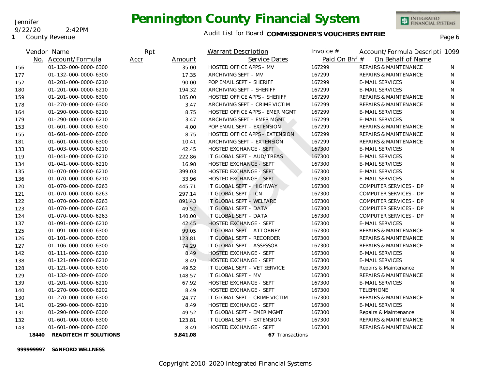### Jennifer

#### 9/22/20 2:42PM

**1** County Revenue

# **Pennington County Financial System**



|     | Vendor Name                     | Rpt            |                      | Warrant Description                   | Invoice $#$   | Account/Formula Descripti 1099   |    |
|-----|---------------------------------|----------------|----------------------|---------------------------------------|---------------|----------------------------------|----|
|     | No. Account/Formula             | Accr<br>Amount |                      | Service Dates                         | Paid On Bhf # | On Behalf of Name                |    |
| 156 | 01-132-000-0000-6300            | 35.00          |                      | HOSTED OFFICE APPS - MV               | 167299        | <b>REPAIRS &amp; MAINTENANCE</b> | N. |
| 177 | 01-132-000-0000-6300            | 17.35          | ARCHIVING SEPT - MV  |                                       | 167299        | <b>REPAIRS &amp; MAINTENANCE</b> | N  |
| 152 | 01-201-000-0000-6210            | 90.00          |                      | POP EMAIL SEPT - SHERIFF              | 167299        | <b>E-MAIL SERVICES</b>           | N  |
| 180 | 01-201-000-0000-6210            | 194.32         |                      | ARCHIVING SEPT - SHERIFF              | 167299        | <b>E-MAIL SERVICES</b>           | N  |
| 159 | 01-201-000-0000-6300            | 105.00         |                      | HOSTED OFFICE APPS - SHERIFF          | 167299        | <b>REPAIRS &amp; MAINTENANCE</b> | N  |
| 178 | 01-270-000-0000-6300            | 3.47           |                      | ARCHIVING SEPT - CRIME VICTIM         | 167299        | <b>REPAIRS &amp; MAINTENANCE</b> | N  |
| 164 | 01-290-000-0000-6210            | 8.75           |                      | HOSTED OFFICE APPS - EMER MGMT        | 167299        | <b>E-MAIL SERVICES</b>           | N  |
| 179 | 01-290-000-0000-6210            | 3.47           |                      | ARCHIVING SEPT - EMER MGMT            | 167299        | <b>E-MAIL SERVICES</b>           | N  |
| 153 | 01-601-000-0000-6300            | 4.00           |                      | POP EMAIL SEPT - EXTENSION            | 167299        | <b>REPAIRS &amp; MAINTENANCE</b> | N  |
| 155 | 01-601-000-0000-6300            | 8.75           |                      | <b>HOSTED OFFICE APPS - EXTENSION</b> | 167299        | <b>REPAIRS &amp; MAINTENANCE</b> | N  |
| 181 | 01-601-000-0000-6300            | 10.41          |                      | ARCHIVING SEPT - EXTENSION            | 167299        | <b>REPAIRS &amp; MAINTENANCE</b> | N  |
| 133 | 01-003-000-0000-6210            | 42.45          |                      | <b>HOSTED EXCHANGE - SEPT</b>         | 167300        | <b>E-MAIL SERVICES</b>           | N  |
| 119 | 01-041-000-0000-6210            | 222.86         |                      | IT GLOBAL SEPT - AUD/TREAS            | 167300        | <b>E-MAIL SERVICES</b>           | N. |
| 134 | 01-041-000-0000-6210            | 16.98          |                      | <b>HOSTED EXCHANGE - SEPT</b>         | 167300        | <b>E-MAIL SERVICES</b>           | N  |
| 135 | 01-070-000-0000-6210            | 399.03         |                      | <b>HOSTED EXCHANGE - SEPT</b>         | 167300        | <b>E-MAIL SERVICES</b>           | N  |
| 136 | 01-070-000-0000-6210            | 33.96          |                      | <b>HOSTED EXCHANGE - SEPT</b>         | 167300        | <b>E-MAIL SERVICES</b>           | N  |
| 120 | 01-070-000-0000-6263            | 445.71         |                      | IT GLOBAL SEPT - HIGHWAY              | 167300        | COMPUTER SERVICES - DP           | N  |
| 121 | 01-070-000-0000-6263            | 297.14         | IT GLOBAL SEPT - ICN |                                       | 167300        | COMPUTER SERVICES - DP           | N  |
| 122 | 01-070-000-0000-6263            | 891.43         |                      | IT GLOBAL SEPT - WELFARE              | 167300        | COMPUTER SERVICES - DP           | N  |
| 123 | 01-070-000-0000-6263            | 49.52          |                      | IT GLOBAL SEPT - DATA                 | 167300        | COMPUTER SERVICES - DP           | N  |
| 124 | 01-070-000-0000-6263            | 140.00         |                      | IT GLOBAL SEPT - DATA                 | 167300        | COMPUTER SERVICES - DP           | N  |
| 137 | 01-091-000-0000-6210            | 42.45          |                      | <b>HOSTED EXCHANGE - SEPT</b>         | 167300        | <b>E-MAIL SERVICES</b>           | N  |
| 125 | 01-091-000-0000-6300            | 99.05          |                      | IT GLOBAL SEPT - ATTORNEY             | 167300        | <b>REPAIRS &amp; MAINTENANCE</b> | N  |
| 126 | 01-101-000-0000-6300            | 123.81         |                      | IT GLOBAL SEPT - RECORDER             | 167300        | <b>REPAIRS &amp; MAINTENANCE</b> | N  |
| 127 | 01-106-000-0000-6300            | 74.29          |                      | IT GLOBAL SEPT - ASSESSOR             | 167300        | REPAIRS & MAINTENANCE            | N. |
| 142 | 01-111-000-0000-6210            | 8.49           |                      | HOSTED EXCHANGE - SEPT                | 167300        | <b>E-MAIL SERVICES</b>           | N  |
| 138 | 01-121-000-0000-6210            | 8.49           |                      | <b>HOSTED EXCHANGE - SEPT</b>         | 167300        | <b>E-MAIL SERVICES</b>           | N  |
| 128 | 01-121-000-0000-6300            | 49.52          |                      | IT GLOBAL SEPT - VET SERVICE          | 167300        | Repairs & Maintenance            | N  |
| 129 | 01-132-000-0000-6300            | 148.57         | IT GLOBAL SEPT - MV  |                                       | 167300        | REPAIRS & MAINTENANCE            | N  |
| 139 | 01-201-000-0000-6210            | 67.92          |                      | <b>HOSTED EXCHANGE - SEPT</b>         | 167300        | <b>E-MAIL SERVICES</b>           | N  |
| 140 | 01-270-000-0000-6202            | 8.49           |                      | <b>HOSTED EXCHANGE - SEPT</b>         | 167300        | <b>TELEPHONE</b>                 | N  |
| 130 | 01-270-000-0000-6300            | 24.77          |                      | IT GLOBAL SEPT - CRIME VICTIM         | 167300        | <b>REPAIRS &amp; MAINTENANCE</b> | N  |
| 141 | 01-290-000-0000-6210            | 8.49           |                      | HOSTED EXCHANGE - SEPT                | 167300        | <b>E-MAIL SERVICES</b>           | N  |
| 131 | 01-290-000-0000-6300            | 49.52          |                      | IT GLOBAL SEPT - EMER MGMT            | 167300        | Repairs & Maintenance            | N  |
| 132 | 01-601-000-0000-6300            | 123.81         |                      | IT GLOBAL SEPT - EXTENSION            | 167300        | <b>REPAIRS &amp; MAINTENANCE</b> | N  |
| 143 | 01-601-000-0000-6300            | 8.49           |                      | <b>HOSTED EXCHANGE - SEPT</b>         | 167300        | <b>REPAIRS &amp; MAINTENANCE</b> | N  |
|     | 18440<br>READITECH IT SOLUTIONS | 5,841.08       |                      | 67 Transactions                       |               |                                  |    |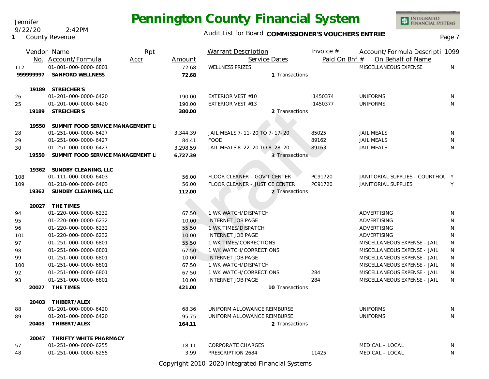Audit List for Board COMMISSIONER'S VOUCHERS ENTRIES<br>Page 7

|     |          | Vendor Name                      | Rpt  |          | <b>Warrant Description</b>     |                 | Invoice $#$   | Account/Formula Descripti 1099   |   |
|-----|----------|----------------------------------|------|----------|--------------------------------|-----------------|---------------|----------------------------------|---|
|     |          | No. Account/Formula              | Accr | Amount   | Service Dates                  |                 | Paid On Bhf # | On Behalf of Name                |   |
| 112 |          | 01-801-000-0000-6801             |      | 72.68    | <b>WELLNESS PRIZES</b>         |                 |               | MISCELLANEOUS EXPENSE            | N |
|     | 99999997 | SANFORD WELLNESS                 |      | 72.68    |                                | 1 Transactions  |               |                                  |   |
|     |          |                                  |      |          |                                |                 |               |                                  |   |
|     |          | 19189 STREICHER'S                |      |          |                                |                 |               |                                  |   |
| 26  |          | 01-201-000-0000-6420             |      | 190.00   | <b>EXTERIOR VEST #10</b>       |                 | 11450374      | <b>UNIFORMS</b>                  | N |
| 25  |          | 01-201-000-0000-6420             |      | 190.00   | <b>EXTERIOR VEST #13</b>       |                 | 11450377      | <b>UNIFORMS</b>                  | N |
|     | 19189    | STREICHER'S                      |      | 380.00   |                                | 2 Transactions  |               |                                  |   |
|     |          |                                  |      |          |                                |                 |               |                                  |   |
|     | 19550    | SUMMIT FOOD SERVICE MANAGEMENT L |      |          |                                |                 |               |                                  |   |
| 28  |          | 01-251-000-0000-6427             |      | 3,344.39 | JAIL MEALS 7-11-20 TO 7-17-20  |                 | 85025         | <b>JAIL MEALS</b>                | N |
| 29  |          | 01-251-000-0000-6427             |      | 84.41    | <b>FOOD</b>                    |                 | 89162         | <b>JAIL MEALS</b>                | N |
| 30  |          | 01-251-000-0000-6427             |      | 3,298.59 | JAIL MEALS 8-22-20 TO 8-28-20  |                 | 89163         | <b>JAIL MEALS</b>                | N |
|     | 19550    | SUMMIT FOOD SERVICE MANAGEMENT L |      | 6,727.39 |                                | 3 Transactions  |               |                                  |   |
|     |          | 19362 SUNDBY CLEANING, LLC       |      |          |                                |                 |               |                                  |   |
| 108 |          | 01-111-000-0000-6403             |      | 56.00    | FLOOR CLEANER - GOV'T CENTER   |                 | PC91720       | JANITORIAL SUPPLIES - COURTHOL Y |   |
| 109 |          | 01-218-000-0000-6403             |      | 56.00    | FLOOR CLEANER - JUSTICE CENTER |                 | PC91720       | JANITORIAL SUPPLIES              | Y |
|     |          | 19362 SUNDBY CLEANING, LLC       |      | 112.00   |                                | 2 Transactions  |               |                                  |   |
|     |          |                                  |      |          |                                |                 |               |                                  |   |
|     |          | 20027 THE TIMES                  |      |          |                                |                 |               |                                  |   |
| 94  |          | 01-220-000-0000-6232             |      | 67.50    | 1 WK WATCH/DISPATCH            |                 |               | ADVERTISING                      | N |
| 95  |          | 01-220-000-0000-6232             |      | 10.00    | <b>INTERNET JOB PAGE</b>       |                 |               | ADVERTISING                      | N |
| 96  |          | 01-220-000-0000-6232             |      | 55.50    | 1 WK TIMES/DISPATCH            |                 |               | ADVERTISING                      | N |
| 101 |          | 01-220-000-0000-6232             |      | 10.00    | <b>INTERNET JOB PAGE</b>       |                 |               | ADVERTISING                      | N |
| 97  |          | 01-251-000-0000-6801             |      | 55.50    | 1 WK TIMES/CORRECTIONS         |                 |               | MISCELLANEOUS EXPENSE - JAIL     | N |
| 98  |          | 01-251-000-0000-6801             |      | 67.50    | 1 WK WATCH/CORRECTIONS         |                 |               | MISCELLANEOUS EXPENSE - JAIL     | N |
| 99  |          | 01-251-000-0000-6801             |      | 10.00    | <b>INTERNET JOB PAGE</b>       |                 |               | MISCELLANEOUS EXPENSE - JAIL     | N |
| 100 |          | 01-251-000-0000-6801             |      | 67.50    | 1 WK WATCH/DISPATCH            |                 |               | MISCELLANEOUS EXPENSE - JAIL     | N |
| 92  |          | 01-251-000-0000-6801             |      | 67.50    | 1 WK WATCH/CORRECTIONS         |                 | 284           | MISCELLANEOUS EXPENSE - JAIL     | N |
| 93  |          | 01-251-000-0000-6801             |      | 10.00    | <b>INTERNET JOB PAGE</b>       |                 | 284           | MISCELLANEOUS EXPENSE - JAIL     | N |
|     | 20027    | THE TIMES                        |      | 421.00   |                                | 10 Transactions |               |                                  |   |
|     |          | THIBERT/ALEX                     |      |          |                                |                 |               |                                  |   |
| 88  | 20403    | 01-201-000-0000-6420             |      | 68.36    | UNIFORM ALLOWANCE REIMBURSE    |                 |               | <b>UNIFORMS</b>                  | N |
| 89  |          | 01-201-000-0000-6420             |      | 95.75    | UNIFORM ALLOWANCE REIMBURSE    |                 |               | <b>UNIFORMS</b>                  | N |
|     | 20403    | THIBERT/ALEX                     |      | 164.11   |                                | 2 Transactions  |               |                                  |   |
|     |          |                                  |      |          |                                |                 |               |                                  |   |
|     | 20047    | THRIFTY WHITE PHARMACY           |      |          |                                |                 |               |                                  |   |
| 57  |          | 01-251-000-0000-6255             |      | 18.11    | <b>CORPORATE CHARGES</b>       |                 |               | MEDICAL - LOCAL                  | N |
| 48  |          | 01-251-000-0000-6255             |      | 3.99     | PRESCRIPTION 2684              |                 | 11425         | MEDICAL - LOCAL                  | N |
|     |          |                                  |      |          |                                |                 |               |                                  |   |

Copyright 2010-2020 Integrated Financial Systems

#### Jennifer 9/22/20 2:42PM

**1** County Revenue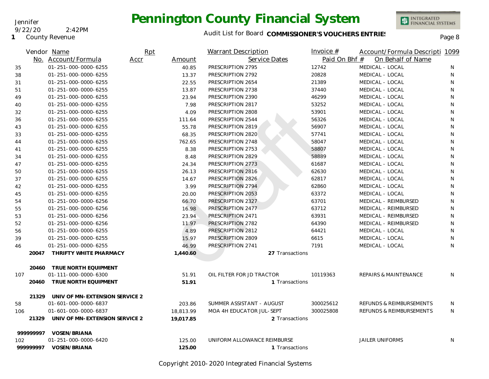Jennifer

9/22/20 2:42PM

#### **1** County Revenue

### Audit List for Board COMMISSIONER'S VOUCHERS ENTRIES<br>Page 8

INTEGRATED<br>FINANCIAL SYSTEMS

|     |          | Vendor Name                    | Rpt  |           | <b>Warrant Description</b>  | Invoice $#$     | Account/Formula Descripti 1099   |    |
|-----|----------|--------------------------------|------|-----------|-----------------------------|-----------------|----------------------------------|----|
|     |          | No. Account/Formula            | Accr | Amount    | Service Dates               | Paid On Bhf #   | On Behalf of Name                |    |
| 35  |          | 01-251-000-0000-6255           |      | 40.85     | PRESCRIPTION 2795           | 12742           | MEDICAL - LOCAL                  | N. |
| 38  |          | 01-251-000-0000-6255           |      | 13.37     | PRESCRIPTION 2792           | 20828           | MEDICAL - LOCAL                  | N  |
| 31  |          | 01-251-000-0000-6255           |      | 22.55     | PRESCRIPTION 2654           | 21389           | MEDICAL - LOCAL                  | N  |
| 51  |          | 01-251-000-0000-6255           |      | 13.87     | PRESCRIPTION 2738           | 37440           | MEDICAL - LOCAL                  | N  |
| 49  |          | 01-251-000-0000-6255           |      | 23.94     | PRESCRIPTION 2390           | 46299           | MEDICAL - LOCAL                  | N  |
| 40  |          | 01-251-000-0000-6255           |      | 7.98      | PRESCRIPTION 2817           | 53252           | MEDICAL - LOCAL                  | N  |
| 32  |          | 01-251-000-0000-6255           |      | 4.09      | PRESCRIPTION 2808           | 53901           | MEDICAL - LOCAL                  | N  |
| 36  |          | 01-251-000-0000-6255           |      | 111.64    | PRESCRIPTION 2544           | 56326           | MEDICAL - LOCAL                  | N  |
| 43  |          | 01-251-000-0000-6255           |      | 55.78     | PRESCRIPTION 2819           | 56907           | MEDICAL - LOCAL                  | N  |
| 33  |          | 01-251-000-0000-6255           |      | 68.35     | PRESCRIPTION 2820           | 57741           | MEDICAL - LOCAL                  | N  |
| 44  |          | 01-251-000-0000-6255           |      | 762.65    | PRESCRIPTION 2748           | 58047           | MEDICAL - LOCAL                  | N  |
| 41  |          | 01-251-000-0000-6255           |      | 8.38      | PRESCRIPTION 2753           | 58807           | MEDICAL - LOCAL                  | N  |
| 34  |          | 01-251-000-0000-6255           |      | 8.48      | PRESCRIPTION 2829           | 58889           | MEDICAL - LOCAL                  | N  |
| 47  |          | 01-251-000-0000-6255           |      | 24.34     | PRESCRIPTION 2773           | 61687           | MEDICAL - LOCAL                  | N  |
| 50  |          | 01-251-000-0000-6255           |      | 26.13     | PRESCRIPTION 2816           | 62630           | MEDICAL - LOCAL                  | N  |
| 37  |          | 01-251-000-0000-6255           |      | 14.67     | PRESCRIPTION 2826           | 62817           | MEDICAL - LOCAL                  | N  |
| 42  |          | 01-251-000-0000-6255           |      | 3.99      | PRESCRIPTION 2794           | 62860           | MEDICAL - LOCAL                  | N  |
| 45  |          | 01-251-000-0000-6255           |      | 20.00     | PRESCRIPTION 2053           | 63372           | MEDICAL - LOCAL                  | N  |
| 54  |          | 01-251-000-0000-6256           |      | 66.70     | PRESCRIPTION 2327           | 63701           | MEDICAL - REIMBURSED             | N  |
| 55  |          | 01-251-000-0000-6256           |      | 16.98     | PRESCRIPTION 2477           | 63712           | MEDICAL - REIMBURSED             | N  |
| 53  |          | 01-251-000-0000-6256           |      | 23.94     | PRESCRIPTION 2471           | 63931           | MEDICAL - REIMBURSED             | N  |
| 52  |          | 01-251-000-0000-6256           |      | 11.97     | PRESCRIPTION 2782           | 64390           | MEDICAL - REIMBURSED             | N  |
| 56  |          | 01-251-000-0000-6255           |      | 4.89      | PRESCRIPTION 2812           | 64421           | MEDICAL - LOCAL                  | N  |
| 39  |          | 01-251-000-0000-6255           |      | 15.97     | PRESCRIPTION 2809           | 6615            | MEDICAL - LOCAL                  | N  |
| 46  |          | 01-251-000-0000-6255           |      | 46.99     | PRESCRIPTION 2741           | 7191            | MEDICAL - LOCAL                  | N  |
|     | 20047    | THRIFTY WHITE PHARMACY         |      | 1,440.60  |                             | 27 Transactions |                                  |    |
|     | 20460    | TRUE NORTH EQUIPMENT           |      |           |                             |                 |                                  |    |
| 107 |          | 01-111-000-0000-6300           |      | 51.91     | OIL FILTER FOR JD TRACTOR   | 10119363        | <b>REPAIRS &amp; MAINTENANCE</b> | N  |
|     | 20460    | TRUE NORTH EQUIPMENT           |      | 51.91     |                             | 1 Transactions  |                                  |    |
|     | 21329    | UNIV OF MN-EXTENSION SERVICE 2 |      |           |                             |                 |                                  |    |
| 58  |          | 01-601-000-0000-6837           |      | 203.86    | SUMMER ASSISTANT - AUGUST   | 300025612       | REFUNDS & REIMBURSEMENTS         | N  |
| 106 |          | 01-601-000-0000-6837           |      | 18,813.99 | MOA 4H EDUCATOR JUL-SEPT    | 300025808       | REFUNDS & REIMBURSEMENTS         | N  |
|     | 21329    | UNIV OF MN-EXTENSION SERVICE 2 |      | 19.017.85 |                             | 2 Transactions  |                                  |    |
|     | 99999997 | VOSEN/BRIANA                   |      |           |                             |                 |                                  |    |
| 102 |          | 01-251-000-0000-6420           |      | 125.00    | UNIFORM ALLOWANCE REIMBURSE |                 | <b>JAILER UNIFORMS</b>           | N  |
|     |          | 999999997    VOSEN/BRIANA      |      | 125.00    |                             | 1 Transactions  |                                  |    |

Copyright 2010-2020 Integrated Financial Systems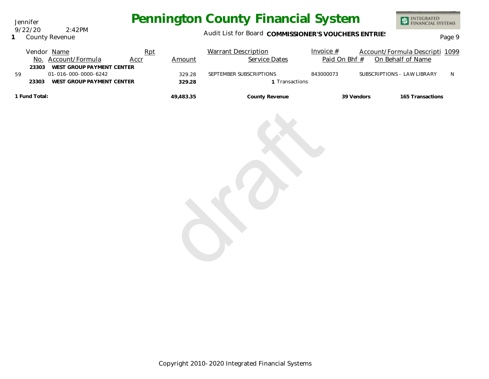Jennifer 9/22/20 2:42PM

### **1** County Revenue

### Audit List for Board COMMISSIONER'S VOUCHERS ENTRIES<br>Page 9

|    | Vendor Name<br>No. Account/Formula<br>WEST GROUP PAYMENT CENTER<br>23303 | Rpt<br>Accr | Amount    | <b>Warrant Description</b><br>Service Dates | Invoice $#$<br>Paid On Bhf # |                             | Account/Formula Descripti 1099<br>On Behalf of Name |   |
|----|--------------------------------------------------------------------------|-------------|-----------|---------------------------------------------|------------------------------|-----------------------------|-----------------------------------------------------|---|
| 59 | 01-016-000-0000-6242                                                     |             | 329.28    | SEPTEMBER SUBSCRIPTIONS                     | 843000073                    | SUBSCRIPTIONS - LAW LIBRARY |                                                     | N |
|    | WEST GROUP PAYMENT CENTER<br>23303                                       |             | 329.28    | 1 Transactions                              |                              |                             |                                                     |   |
|    | 1 Fund Total:                                                            |             | 49,483.35 | County Revenue                              |                              | 39 Vendors                  | 165 Transactions                                    |   |
|    |                                                                          |             |           |                                             |                              |                             |                                                     |   |
|    |                                                                          |             |           |                                             |                              |                             |                                                     |   |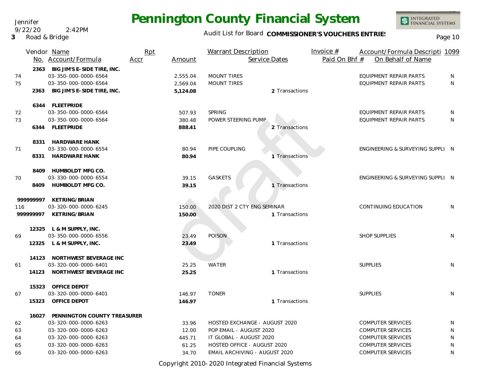Audit List for Board COMMISSIONER'S VOUCHERS ENTRIES<br>Page 10

|                              | Vendor Name<br>No. Account/Formula                                                                                                | Rpt<br>Accr | Amount                            | <b>Warrant Description</b><br>Service Dates                                                                        |                | Invoice $#$<br>Paid On Bhf # | Account/Formula Descripti 1099<br>On Behalf of Name                                                          |                  |
|------------------------------|-----------------------------------------------------------------------------------------------------------------------------------|-------------|-----------------------------------|--------------------------------------------------------------------------------------------------------------------|----------------|------------------------------|--------------------------------------------------------------------------------------------------------------|------------------|
| 74<br>75<br>2363             | 2363 BIG JIM'S E-SIDE TIRE, INC.<br>03-350-000-0000-6564<br>03-350-000-0000-6564<br>BIG JIM'S E-SIDE TIRE, INC.                   |             | 2,555.04<br>2,569.04<br>5,124.08  | <b>MOUNT TIRES</b><br><b>MOUNT TIRES</b>                                                                           | 2 Transactions |                              | EQUIPMENT REPAIR PARTS<br>EQUIPMENT REPAIR PARTS                                                             | N<br>N           |
| 72<br>73<br>6344             | 6344 FLEETPRIDE<br>03-350-000-0000-6564<br>03-350-000-0000-6564<br>FLEETPRIDE                                                     |             | 507.93<br>380.48<br>888.41        | <b>SPRING</b><br>POWER STEERING PUMP                                                                               | 2 Transactions |                              | EQUIPMENT REPAIR PARTS<br><b>EQUIPMENT REPAIR PARTS</b>                                                      | N<br>N           |
| 71                           | 8331 HARDWARE HANK<br>03-330-000-0000-6554<br>8331 HARDWARE HANK                                                                  |             | 80.94<br>80.94                    | PIPE COUPLING                                                                                                      | 1 Transactions |                              | ENGINEERING & SURVEYING SUPPLI N                                                                             |                  |
| 8409<br>70<br>8409           | HUMBOLDT MFG CO.<br>03-330-000-0000-6554<br><b>HUMBOLDT MFG CO.</b>                                                               |             | 39.15<br>39.15                    | <b>GASKETS</b>                                                                                                     | 1 Transactions |                              | ENGINEERING & SURVEYING SUPPLI N                                                                             |                  |
| 99999997<br>116<br>999999997 | KETRING/BRIAN<br>03-320-000-0000-6245<br>KETRING/BRIAN                                                                            |             | 150.00<br>150.00                  | 2020 DIST 2 CTY ENG SEMINAR                                                                                        | 1 Transactions |                              | CONTINUING EDUCATION                                                                                         | N                |
| 69                           | 12325 L & M SUPPLY, INC.<br>03-350-000-0000-6556<br>12325 L & M SUPPLY, INC.                                                      |             | 23.49<br>23.49                    | <b>POISON</b>                                                                                                      | 1 Transactions |                              | <b>SHOP SUPPLIES</b>                                                                                         | N                |
| 61                           | 14123 NORTHWEST BEVERAGE INC<br>03-320-000-0000-6401<br>14123 NORTHWEST BEVERAGE INC                                              |             | 25.25<br>25.25                    | <b>WATER</b>                                                                                                       | 1 Transactions |                              | <b>SUPPLIES</b>                                                                                              | N                |
| 67<br>15323                  | 15323 OFFICE DEPOT<br>03-320-000-0000-6401<br>OFFICE DEPOT                                                                        |             | 146.97<br>146.97                  | <b>TONER</b>                                                                                                       | 1 Transactions |                              | <b>SUPPLIES</b>                                                                                              | N                |
| 62<br>63<br>64<br>65         | 16027 PENNINGTON COUNTY TREASURER<br>03-320-000-0000-6263<br>03-320-000-0000-6263<br>03-320-000-0000-6263<br>03-320-000-0000-6263 |             | 33.96<br>12.00<br>445.71<br>61.25 | HOSTED EXCHANGE - AUGUST 2020<br>POP EMAIL - AUGUST 2020<br>IT GLOBAL - AUGUST 2020<br>HOSTED OFFICE - AUGUST 2020 |                |                              | <b>COMPUTER SERVICES</b><br><b>COMPUTER SERVICES</b><br><b>COMPUTER SERVICES</b><br><b>COMPUTER SERVICES</b> | N<br>N<br>N<br>N |
| 66                           | 03-320-000-0000-6263                                                                                                              |             | 34.70                             | EMAIL ARCHIVING - AUGUST 2020                                                                                      |                |                              | <b>COMPUTER SERVICES</b>                                                                                     | N                |

Copyright 2010-2020 Integrated Financial Systems

Jennifer 9/22/20 2:42PM

**3** Road & Bridge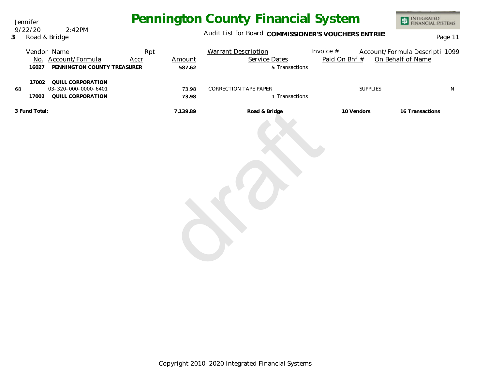Jennifer 9/22/20 2:42PM

**3** Road & Bridge

### Audit List for Board COMMISSIONER'S VOUCHERS ENTRIES<br>Page 11

|               | 16027          | Vendor Name<br>No. Account/Formula<br>PENNINGTON COUNTY TREASURER | Rpt<br><b>Accr</b> | Amount<br>587.62 | <b>Warrant Description</b><br>Service Dates<br>5 Transactions | Invoice #<br>Paid On Bhf # | Account/Formula Descripti 1099<br>On Behalf of Name |           |
|---------------|----------------|-------------------------------------------------------------------|--------------------|------------------|---------------------------------------------------------------|----------------------------|-----------------------------------------------------|-----------|
| 68            | 17002<br>17002 | QUILL CORPORATION<br>03-320-000-0000-6401<br>QUILL CORPORATION    |                    | 73.98<br>73.98   | CORRECTION TAPE PAPER<br>1 Transactions                       |                            | SUPPLIES                                            | ${\sf N}$ |
| 3 Fund Total: |                |                                                                   |                    | 7,139.89         | Road & Bridge                                                 | 10 Vendors                 | 16 Transactions                                     |           |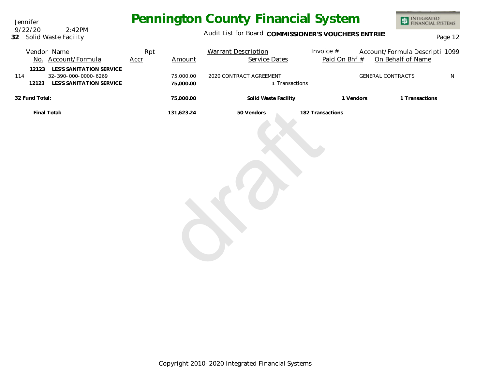Jennifer **32** Solid Waste Facility 9/22/20 2:42PM

### Audit List for Board COMMISSIONER'S VOUCHERS ENTRIES<br>Page 12

| Vendor Name<br>No. Account/Formula                                                                    | Rpt<br>Accr | Amount                 | <b>Warrant Description</b><br>Service Dates | Invoice $#$<br>Paid On Bhf # | Account/Formula Descripti 1099<br>On Behalf of Name |   |
|-------------------------------------------------------------------------------------------------------|-------------|------------------------|---------------------------------------------|------------------------------|-----------------------------------------------------|---|
| LES'S SANITATION SERVICE<br>12123<br>32-390-000-0000-6269<br>114<br>LES'S SANITATION SERVICE<br>12123 |             | 75,000.00<br>75,000.00 | 2020 CONTRACT AGREEMENT<br>1 Transactions   |                              | <b>GENERAL CONTRACTS</b>                            | N |
| 32 Fund Total:                                                                                        |             | 75,000.00              | Solid Waste Facility                        | 1 Vendors                    | 1 Transactions                                      |   |
| Final Total:                                                                                          |             | 131,623.24             | 50 Vendors                                  | 182 Transactions             |                                                     |   |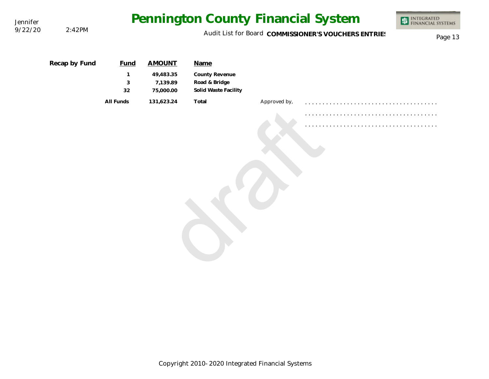| Jennifer |               | Pennington County Financial System     | INTEGRATED<br>FINANCIAL SYSTEMS<br>\$               |                                                                 |              |  |  |
|----------|---------------|----------------------------------------|-----------------------------------------------------|-----------------------------------------------------------------|--------------|--|--|
| 9/22/20  | 2:42PM        |                                        | Page 13                                             |                                                                 |              |  |  |
|          | Recap by Fund | <b>Fund</b><br>$\mathbf{1}$<br>3<br>32 | <b>AMOUNT</b><br>49,483.35<br>7,139.89<br>75,000.00 | Name<br>County Revenue<br>Road & Bridge<br>Solid Waste Facility |              |  |  |
|          |               | All Funds                              | 131,623.24                                          | Total                                                           | Approved by, |  |  |
|          |               |                                        |                                                     |                                                                 |              |  |  |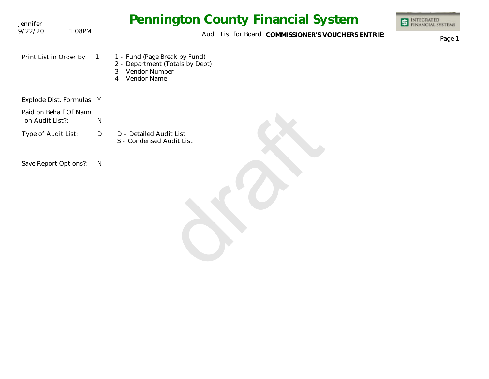| Jennifer                                  |                | <b>Pennington County Financial System</b>                                                                | <b>INTEGRATED<br/>FINANCIAL SYSTEMS</b> |
|-------------------------------------------|----------------|----------------------------------------------------------------------------------------------------------|-----------------------------------------|
| 9/22/20<br>1:08PM                         |                | Audit List for Board COMMISSIONER'S VOUCHERS ENTRIES                                                     | Page 1                                  |
| Print List in Order By:                   | $\overline{1}$ | 1 - Fund (Page Break by Fund)<br>2 - Department (Totals by Dept)<br>3 - Vendor Number<br>4 - Vendor Name |                                         |
| Explode Dist. Formulas Y                  |                |                                                                                                          |                                         |
| Paid on Behalf Of Name<br>on Audit List?: | N              |                                                                                                          |                                         |
| Type of Audit List:                       | D              | D - Detailed Audit List<br>S - Condensed Audit List                                                      |                                         |
| Save Report Options?:                     | N              |                                                                                                          |                                         |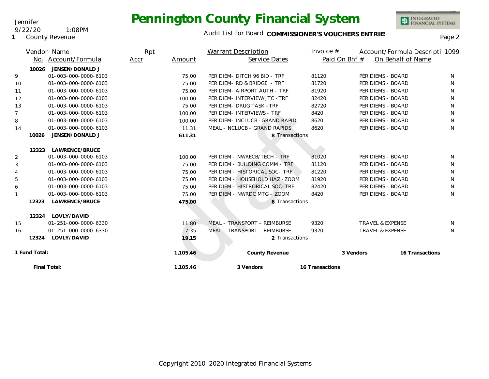INTEGRATED<br>FINANCIAL SYSTEMS

### Audit List for Board COMMISSIONER'S VOUCHERS ENTRIES<br>Page 2

|    | No.           | Vendor Name<br>Account/Formula | Rpt<br>Accr | Amount   | <b>Warrant Description</b><br>Service Dates | Invoice $#$     | Paid On Bhf #               | Account/Formula Descripti 1099<br>On Behalf of Name |              |
|----|---------------|--------------------------------|-------------|----------|---------------------------------------------|-----------------|-----------------------------|-----------------------------------------------------|--------------|
|    | 10026         | JENSEN/DONALD J                |             |          |                                             |                 |                             |                                                     |              |
| 9  |               | 01-003-000-0000-6103           |             | 75.00    | PER DIEM- DITCH 96 BID - TRF                | 81120           | PER DIEMS - BOARD           |                                                     | N            |
| 10 |               | 01-003-000-0000-6103           |             | 75.00    | PER DIEM - RD & BRIDGE - TRF                | 81720           | PER DIEMS - BOARD           |                                                     | N            |
| 11 |               | 01-003-000-0000-6103           |             | 75.00    | PER DIEM- AIRPORT AUTH - TRF                | 81920           | PER DIEMS - BOARD           |                                                     | N            |
| 12 |               | 01-003-000-0000-6103           |             | 100.00   | PER DIEM- INTERVIEW/JTC - TRF               | 82420           | PER DIEMS - BOARD           |                                                     | N            |
| 13 |               | 01-003-000-0000-6103           |             | 75.00    | PER DIEM- DRUG TASK - TRF                   | 82720           | PER DIEMS - BOARD           |                                                     | N            |
| 7  |               | 01-003-000-0000-6103           |             | 100.00   | PER DIEM- INTERVIEWS - TRF                  | 8420            | PER DIEMS - BOARD           |                                                     | N            |
| 8  |               | 01-003-000-0000-6103           |             | 100.00   | PER DIEM- INCLUCB-GRAND RAPID               | 8620            | PER DIEMS - BOARD           |                                                     | N            |
| 14 |               | 01-003-000-0000-6103           |             | 11.31    | MEAL - NCLUCB - GRAND RAPIDS                | 8620            | PER DIEMS - BOARD           |                                                     | N            |
|    | 10026         | JENSEN/DONALD J                |             | 611.31   | 8 Transactions                              |                 |                             |                                                     |              |
|    |               |                                |             |          |                                             |                 |                             |                                                     |              |
|    | 12323         | LAWRENCE/BRUCE                 |             |          |                                             |                 |                             |                                                     |              |
| 2  |               | 01-003-000-0000-6103           |             | 100.00   | PER DIEM - NWRECB/TECH - TRF                | 81020           | PER DIEMS - BOARD           |                                                     | <sup>N</sup> |
| 3  |               | 01-003-000-0000-6103           |             | 75.00    | PER DIEM - BUILDING COMM - TRF              | 81120           | PER DIEMS - BOARD           |                                                     | N            |
|    |               | 01-003-000-0000-6103           |             | 75.00    | PER DIEM - HISTORICAL SOC - TRF             | 81220           | PER DIEMS - BOARD           |                                                     | N            |
| 5  |               | 01-003-000-0000-6103           |             | 75.00    | PER DIEM - HOUSEHOLD HAZ -ZOOM              | 81920           | PER DIEMS - BOARD           |                                                     | N            |
| 6  |               | 01-003-000-0000-6103           |             | 75.00    | PER DIEM - HISTRORICAL SOC-TRF              | 82420           | PER DIEMS - BOARD           |                                                     | N            |
|    |               | 01-003-000-0000-6103           |             | 75.00    | PER DIEM - NWRDC MTG - ZOOM                 | 8420            | PER DIEMS - BOARD           |                                                     | N            |
|    | 12323         | LAWRENCE/BRUCE                 |             | 475.00   | 6 Transactions                              |                 |                             |                                                     |              |
|    |               |                                |             |          |                                             |                 |                             |                                                     |              |
|    | 12324         | LOVLY/DAVID                    |             |          |                                             |                 |                             |                                                     |              |
| 15 |               | 01-251-000-0000-6330           |             | 11.80    | MEAL - TRANSPORT - REIMBURSE                | 9320            | <b>TRAVEL &amp; EXPENSE</b> |                                                     | N            |
| 16 |               | 01-251-000-0000-6330           |             | 7.35     | MEAL - TRANSPORT - REIMBURSE                | 9320            | <b>TRAVEL &amp; EXPENSE</b> |                                                     | N            |
|    | 12324         | LOVLY/DAVID                    |             | 19.15    | 2 Transactions                              |                 |                             |                                                     |              |
|    |               |                                |             |          |                                             |                 |                             |                                                     |              |
|    | 1 Fund Total: |                                |             | 1,105.46 | County Revenue                              |                 | 3 Vendors                   | 16 Transactions                                     |              |
|    |               | Final Total:                   |             | 1,105.46 | 3 Vendors                                   | 16 Transactions |                             |                                                     |              |

### 9/22/20 1:08PM

Jennifer

**1** County Revenue